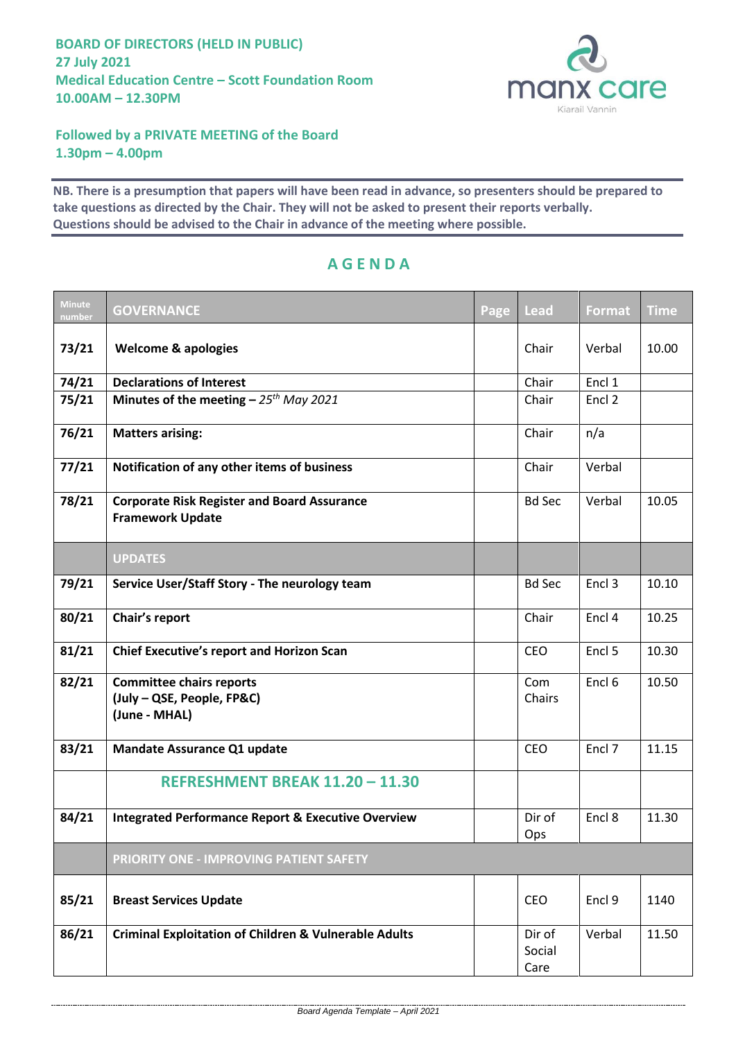

## **Followed by a PRIVATE MEETING of the Board 1.30pm – 4.00pm**

**NB. There is a presumption that papers will have been read in advance, so presenters should be prepared to take questions as directed by the Chair. They will not be asked to present their reports verbally. Questions should be advised to the Chair in advance of the meeting where possible.**

| <b>Minute</b><br>number | <b>GOVERNANCE</b>                                                              | Page | <b>Lead</b>              | <b>Format</b>     | <b>Time</b> |
|-------------------------|--------------------------------------------------------------------------------|------|--------------------------|-------------------|-------------|
| 73/21                   | <b>Welcome &amp; apologies</b>                                                 |      | Chair                    | Verbal            | 10.00       |
| 74/21                   | <b>Declarations of Interest</b>                                                |      | Chair                    | Encl 1            |             |
| 75/21                   | Minutes of the meeting $-25$ <sup>th</sup> May 2021                            |      | Chair                    | Encl 2            |             |
| 76/21                   | <b>Matters arising:</b>                                                        |      | Chair                    | n/a               |             |
| 77/21                   | Notification of any other items of business                                    |      | Chair                    | Verbal            |             |
| 78/21                   | <b>Corporate Risk Register and Board Assurance</b><br><b>Framework Update</b>  |      | <b>Bd Sec</b>            | Verbal            | 10.05       |
|                         | <b>UPDATES</b>                                                                 |      |                          |                   |             |
| 79/21                   | Service User/Staff Story - The neurology team                                  |      | <b>Bd Sec</b>            | Encl 3            | 10.10       |
| 80/21                   | Chair's report                                                                 |      | Chair                    | Encl 4            | 10.25       |
| 81/21                   | <b>Chief Executive's report and Horizon Scan</b>                               |      | CEO                      | Encl 5            | 10.30       |
| 82/21                   | <b>Committee chairs reports</b><br>(July - QSE, People, FP&C)<br>(June - MHAL) |      | Com<br>Chairs            | Encl <sub>6</sub> | 10.50       |
| 83/21                   | <b>Mandate Assurance Q1 update</b>                                             |      | <b>CEO</b>               | Encl 7            | 11.15       |
|                         | REFRESHMENT BREAK 11.20 - 11.30                                                |      |                          |                   |             |
| 84/21                   | <b>Integrated Performance Report &amp; Executive Overview</b>                  |      | Dir of<br>Ops            | Encl 8            | 11.30       |
|                         | PRIORITY ONE - IMPROVING PATIENT SAFETY                                        |      |                          |                   |             |
| 85/21                   | <b>Breast Services Update</b>                                                  |      | CEO                      | Encl 9            | 1140        |
| 86/21                   | <b>Criminal Exploitation of Children &amp; Vulnerable Adults</b>               |      | Dir of<br>Social<br>Care | Verbal            | 11.50       |

## **A G E N D A**